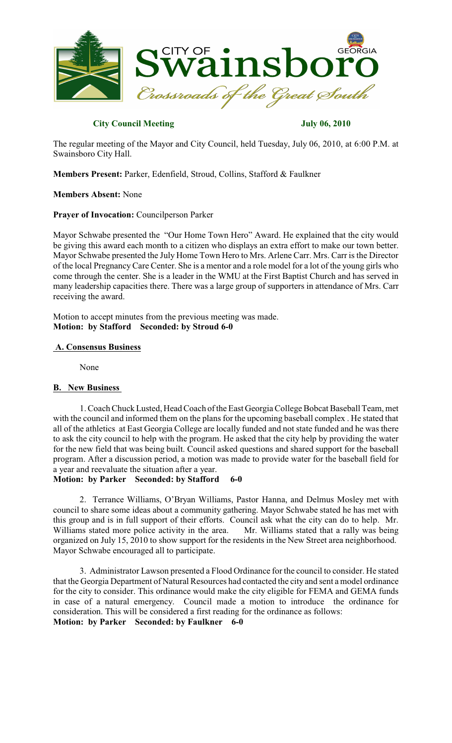

# **City Council Meeting July 06, 2010**

The regular meeting of the Mayor and City Council, held Tuesday, July 06, 2010, at 6:00 P.M. at Swainsboro City Hall.

**Members Present:** Parker, Edenfield, Stroud, Collins, Stafford & Faulkner

# **Members Absent:** None

# **Prayer of Invocation:** Councilperson Parker

Mayor Schwabe presented the "Our Home Town Hero" Award. He explained that the city would be giving this award each month to a citizen who displays an extra effort to make our town better. Mayor Schwabe presented the July Home Town Hero to Mrs. Arlene Carr. Mrs. Carr is the Director of the local PregnancyCare Center. She is a mentor and a role model for a lot of the young girls who come through the center. She is a leader in the WMU at the First Baptist Church and has served in many leadership capacities there. There was a large group of supporters in attendance of Mrs. Carr receiving the award.

Motion to accept minutes from the previous meeting was made. **Motion: by Stafford Seconded: by Stroud 6-0**

# **A. Consensus Business**

None

### **B. New Business**

1. Coach Chuck Lusted, Head Coach of the East Georgia College Bobcat Baseball Team, met with the council and informed them on the plans for the upcoming baseball complex . He stated that all of the athletics at East Georgia College are locally funded and not state funded and he was there to ask the city council to help with the program. He asked that the city help by providing the water for the new field that was being built. Council asked questions and shared support for the baseball program. After a discussion period, a motion was made to provide water for the baseball field for a year and reevaluate the situation after a year.

## **Motion: by Parker Seconded: by Stafford 6-0**

2. Terrance Williams, O'Bryan Williams, Pastor Hanna, and Delmus Mosley met with council to share some ideas about a community gathering. Mayor Schwabe stated he has met with this group and is in full support of their efforts. Council ask what the city can do to help. Mr. Williams stated more police activity in the area. Mr. Williams stated that a rally was being organized on July 15, 2010 to show support for the residents in the New Street area neighborhood. Mayor Schwabe encouraged all to participate.

3. Administrator Lawson presented a Flood Ordinance for the council to consider. He stated that the Georgia Department of Natural Resources had contacted the city and sent a model ordinance for the city to consider. This ordinance would make the city eligible for FEMA and GEMA funds in case of a natural emergency. Council made a motion to introduce the ordinance for consideration. This will be considered a first reading for the ordinance as follows: **Motion: by Parker Seconded: by Faulkner 6-0**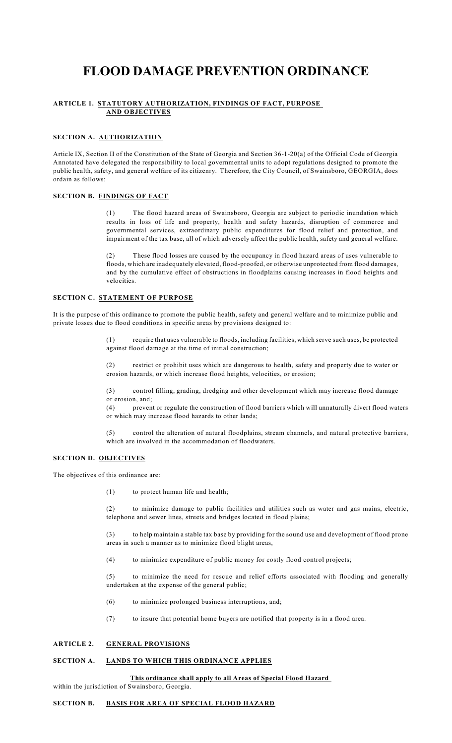# **FLOOD DAMAGE PREVENTION ORDINANCE**

#### **ARTICLE 1. STATUTORY AUTHORIZATION, FINDINGS OF FACT, PURPOSE AND OBJECTIVES**

#### **SECTION A. AUTHORIZATION**

Article IX, Section II of the Constitution of the State of Georgia and Section 36-1-20(a) of the Official Code of Georgia Annotated have delegated the responsibility to local governmental units to adopt regulations designed to promote the public health, safety, and general welfare of its citizenry. Therefore, the City Council, of Swainsboro, GEORGIA, does ordain as follows:

#### **SECTION B. FINDINGS OF FACT**

(1) The flood hazard areas of Swainsboro, Georgia are subject to periodic inundation which results in loss of life and property, health and safety hazards, disruption of commerce and governmental services, extraordinary public expenditures for flood relief and protection, and impairment of the tax base, all of which adversely affect the public health, safety and general welfare.

(2) These flood losses are caused by the occupancy in flood hazard areas of uses vulnerable to floods, which are inadequately elevated, flood-proofed, or otherwise unprotected from flood damages, and by the cumulative effect of obstructions in floodplains causing increases in flood heights and velocities.

#### **SECTION C. STATEMENT OF PURPOSE**

It is the purpose of this ordinance to promote the public health, safety and general welfare and to minimize public and private losses due to flood conditions in specific areas by provisions designed to:

> (1) require that uses vulnerable to floods, including facilities, which serve such uses, be protected against flood damage at the time of initial construction;

> (2) restrict or prohibit uses which are dangerous to health, safety and property due to water or erosion hazards, or which increase flood heights, velocities, or erosion;

> (3) control filling, grading, dredging and other development which may increase flood damage or erosion, and;

(4) prevent or regulate the construction of flood barriers which will unnaturally divert flood waters or which may increase flood hazards to other lands;

(5) control the alteration of natural floodplains, stream channels, and natural protective barriers, which are involved in the accommodation of floodwaters.

#### **SECTION D. OBJECTIVES**

The objectives of this ordinance are:

(1) to protect human life and health;

(2) to minimize damage to public facilities and utilities such as water and gas mains, electric, telephone and sewer lines, streets and bridges located in flood plains;

(3) to help maintain a stable tax base by providing for the sound use and development of flood prone areas in such a manner as to minimize flood blight areas,

(4) to minimize expenditure of public money for costly flood control projects;

(5) to minimize the need for rescue and relief efforts associated with flooding and generally undertaken at the expense of the general public;

- (6) to minimize prolonged business interruptions, and;
- (7) to insure that potential home buyers are notified that property is in a flood area.

#### **ARTICLE 2. GENERAL PROVISIONS**

#### **SECTION A. LANDS TO WHICH THIS ORDINANCE APPLIES**

**This ordinance shall apply to all Areas of Special Flood Hazard**

within the jurisdiction of Swainsboro, Georgia.

#### **SECTION B. BASIS FOR AREA OF SPECIAL FLOOD HAZARD**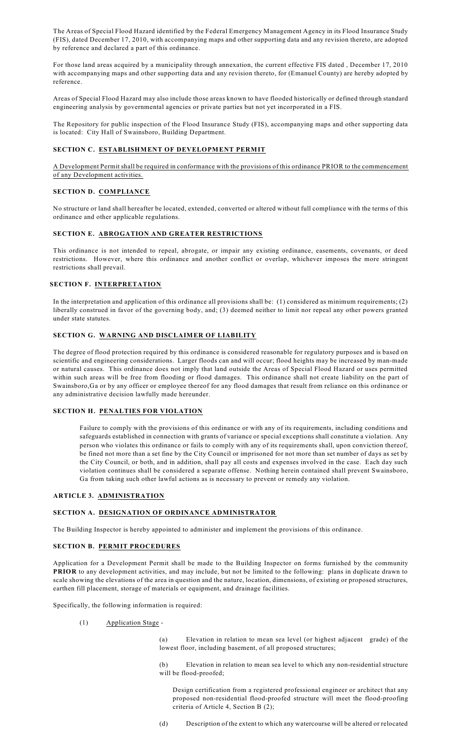The Areas of Special Flood Hazard identified by the Federal Emergency Management Agency in its Flood Insurance Study (FIS), dated December 17, 2010, with accompanying maps and other supporting data and any revision thereto, are adopted by reference and declared a part of this ordinance.

For those land areas acquired by a municipality through annexation, the current effective FIS dated , December 17, 2010 with accompanying maps and other supporting data and any revision thereto, for (Emanuel County) are hereby adopted by reference.

Areas of Special Flood Hazard may also include those areas known to have flooded historically or defined through standard engineering analysis by governmental agencies or private parties but not yet incorporated in a FIS.

The Repository for public inspection of the Flood Insurance Study (FIS), accompanying maps and other supporting data is located: City Hall of Swainsboro, Building Department.

#### **SECTION C. ESTABLISHMENT OF DEVELOPMENT PERMIT**

A Development Permit shall be required in conformance with the provisions of this ordinance PRIOR to the commencement of any Development activities.

### **SECTION D. COMPLIANCE**

No structure or land shall hereafter be located, extended, converted or altered without full compliance with the terms of this ordinance and other applicable regulations.

#### **SECTION E. ABROGATION AND GREATER RESTRICTIONS**

This ordinance is not intended to repeal, abrogate, or impair any existing ordinance, easements, covenants, or deed restrictions. However, where this ordinance and another conflict or overlap, whichever imposes the more stringent restrictions shall prevail.

#### **SECTION F. INTERPRETATION**

In the interpretation and application of this ordinance all provisions shall be: (1) considered as minimum requirements; (2) liberally construed in favor of the governing body, and; (3) deemed neither to limit nor repeal any other powers granted under state statutes.

#### **SECTION G. WARNING AND DISCLAIMER OF LIABILITY**

The degree of flood protection required by this ordinance is considered reasonable for regulatory purposes and is based on scientific and engineering considerations. Larger floods can and will occur; flood heights may be increased by man-made or natural causes. This ordinance does not imply that land outside the Areas of Special Flood Hazard or uses permitted within such areas will be free from flooding or flood damages. This ordinance shall not create liability on the part of Swainsboro,Ga or by any officer or employee thereof for any flood damages that result from reliance on this ordinance or any administrative decision lawfully made hereunder.

#### **SECTION H. PENALTIES FOR VIOLATION**

Failure to comply with the provisions of this ordinance or with any of its requirements, including conditions and safeguards established in connection with grants of variance or special exceptions shall constitute a violation. Any person who violates this ordinance or fails to comply with any of its requirements shall, upon conviction thereof, be fined not more than a set fine by the City Council or imprisoned for not more than set number of days as set by the City Council, or both, and in addition, shall pay all costs and expenses involved in the case. Each day such violation continues shall be considered a separate offense. Nothing herein contained shall prevent Swainsboro, Ga from taking such other lawful actions as is necessary to prevent or remedy any violation.

#### **ARTICLE 3. ADMINISTRATION**

#### **SECTION A. DESIGNATION OF ORDINANCE ADMINISTRATOR**

The Building Inspector is hereby appointed to administer and implement the provisions of this ordinance.

#### **SECTION B. PERMIT PROCEDURES**

Application for a Development Permit shall be made to the Building Inspector on forms furnished by the community **PRIOR** to any development activities, and may include, but not be limited to the following: plans in duplicate drawn to scale showing the elevations of the area in question and the nature, location, dimensions, of existing or proposed structures, earthen fill placement, storage of materials or equipment, and drainage facilities.

Specifically, the following information is required:

- (1) Application Stage
	- (a) Elevation in relation to mean sea level (or highest adjacent grade) of the lowest floor, including basement, of all proposed structures;
	- (b) Elevation in relation to mean sea level to which any non-residential structure will be flood-proofed;

Design certification from a registered professional engineer or architect that any proposed non-residential flood-proofed structure will meet the flood-proofing criteria of Article 4, Section B (2);

(d) Description of the extent to which any watercourse will be altered or relocated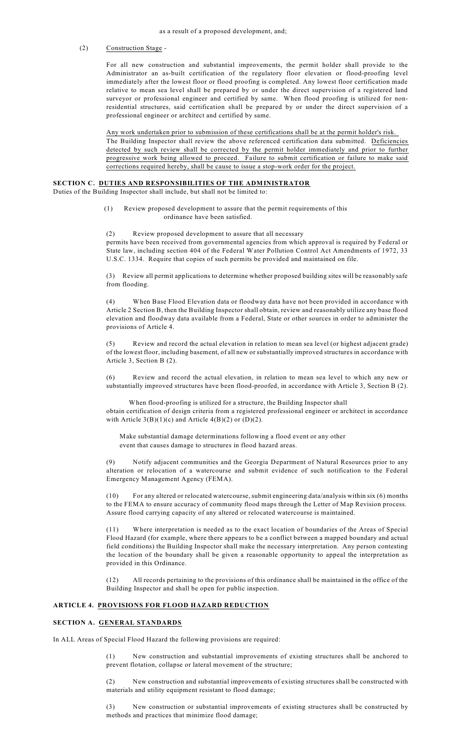#### (2) Construction Stage -

For all new construction and substantial improvements, the permit holder shall provide to the Administrator an as-built certification of the regulatory floor elevation or flood-proofing level immediately after the lowest floor or flood proofing is completed. Any lowest floor certification made relative to mean sea level shall be prepared by or under the direct supervision of a registered land surveyor or professional engineer and certified by same. When flood proofing is utilized for nonresidential structures, said certification shall be prepared by or under the direct supervision of a professional engineer or architect and certified by same.

Any work undertaken prior to submission of these certifications shall be at the permit holder's risk. The Building Inspector shall review the above referenced certification data submitted. Deficiencies detected by such review shall be corrected by the permit holder immediately and prior to further progressive work being allowed to proceed. Failure to submit certification or failure to make said corrections required hereby, shall be cause to issue a stop-work order for the project.

#### **SECTION C. DUTIES AND RESPONSIBILITIES OF THE ADMINISTRATOR**

Duties of the Building Inspector shall include, but shall not be limited to:

(1) Review proposed development to assure that the permit requirements of this ordinance have been satisfied.

(2) Review proposed development to assure that all necessary

permits have been received from governmental agencies from which approval is required by Federal or State law, including section 404 of the Federal Water Pollution Control Act Amendments of 1972, 33 U.S.C. 1334. Require that copies of such permits be provided and maintained on file.

(3) Review all permit applications to determine whether proposed building sites will be reasonably safe from flooding.

(4) When Base Flood Elevation data or floodway data have not been provided in accordance with Article 2 Section B, then the Building Inspector shall obtain, review and reasonably utilize any base flood elevation and floodway data available from a Federal, State or other sources in order to administer the provisions of Article 4.

Review and record the actual elevation in relation to mean sea level (or highest adjacent grade) of the lowest floor, including basement, of all new or substantially improved structures in accordance with Article 3, Section B (2).

(6) Review and record the actual elevation, in relation to mean sea level to which any new or substantially improved structures have been flood-proofed, in accordance with Article 3, Section B (2).

 When flood-proofing is utilized for a structure, the Building Inspector shall obtain certification of design criteria from a registered professional engineer or architect in accordance with Article  $3(B)(1)(c)$  and Article  $4(B)(2)$  or  $(D)(2)$ .

Make substantial damage determinations following a flood event or any other event that causes damage to structures in flood hazard areas.

(9) Notify adjacent communities and the Georgia Department of Natural Resources prior to any alteration or relocation of a watercourse and submit evidence of such notification to the Federal Emergency Management Agency (FEMA).

(10) For any altered or relocated watercourse, submit engineering data/analysis within six (6) months to the FEMA to ensure accuracy of community flood maps through the Letter of Map Revision process. Assure flood carrying capacity of any altered or relocated watercourse is maintained.

Where interpretation is needed as to the exact location of boundaries of the Areas of Special Flood Hazard (for example, where there appears to be a conflict between a mapped boundary and actual field conditions) the Building Inspector shall make the necessary interpretation. Any person contesting the location of the boundary shall be given a reasonable opportunity to appeal the interpretation as provided in this Ordinance.

(12) All records pertaining to the provisions of this ordinance shall be maintained in the office of the Building Inspector and shall be open for public inspection.

#### **ARTICLE 4. PROVISIONS FOR FLOOD HAZARD REDUCTION**

# **SECTION A. GENERAL STANDARDS**

In ALL Areas of Special Flood Hazard the following provisions are required:

(1) New construction and substantial improvements of existing structures shall be anchored to prevent flotation, collapse or lateral movement of the structure;

(2) New construction and substantial improvements of existing structures shall be constructed with materials and utility equipment resistant to flood damage;

(3) New construction or substantial improvements of existing structures shall be constructed by methods and practices that minimize flood damage;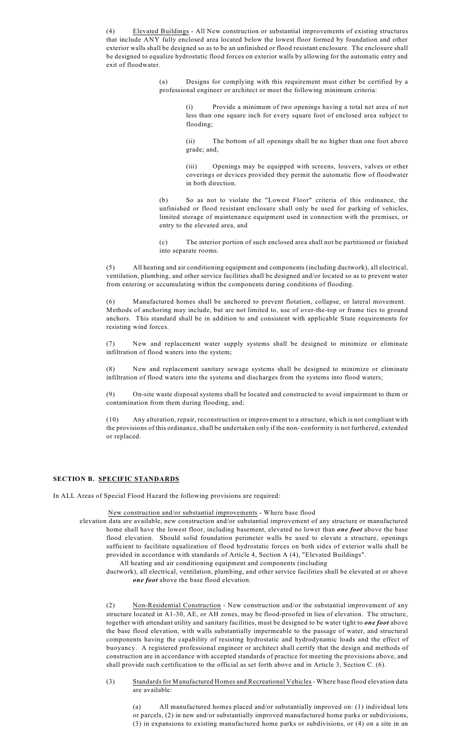(4) Elevated Buildings - All New construction or substantial improvements of existing structures that include ANY fully enclosed area located below the lowest floor formed by foundation and other exterior walls shall be designed so as to be an unfinished or flood resistant enclosure. The enclosure shall be designed to equalize hydrostatic flood forces on exterior walls by allowing for the automatic entry and exit of floodwater.

> (a) Designs for complying with this requirement must either be certified by a professional engineer or architect or meet the following minimum criteria:

> > (i) Provide a minimum of two openings having a total net area of not less than one square inch for every square foot of enclosed area subject to flooding;

> > (ii) The bottom of all openings shall be no higher than one foot above grade; and,

> > (iii) Openings may be equipped with screens, louvers, valves or other coverings or devices provided they permit the automatic flow of floodwater in both direction.

(b) So as not to violate the "Lowest Floor" criteria of this ordinance, the unfinished or flood resistant enclosure shall only be used for parking of vehicles, limited storage of maintenance equipment used in connection with the premises, or entry to the elevated area, and

(c) The interior portion of such enclosed area shall not be partitioned or finished into separate rooms.

(5) All heating and air conditioning equipment and components (including ductwork), all electrical, ventilation, plumbing, and other service facilities shall be designed and/or located so as to prevent water from entering or accumulating within the components during conditions of flooding.

(6) Manufactured homes shall be anchored to prevent flotation, collapse, or lateral movement. Methods of anchoring may include, but are not limited to, use of over-the-top or frame ties to ground anchors. This standard shall be in addition to and consistent with applicable State requirements for resisting wind forces.

(7) New and replacement water supply systems shall be designed to minimize or eliminate infiltration of flood waters into the system;

(8) New and replacement sanitary sewage systems shall be designed to minimize or eliminate infiltration of flood waters into the systems and discharges from the systems into flood waters;

(9) On-site waste disposal systems shall be located and constructed to avoid impairment to them or contamination from them during flooding, and;

(10) Any alteration, repair, reconstruction or improvement to a structure, which is not compliant with the provisions of this ordinance, shall be undertaken only if the non- conformity is not furthered, extended or replaced.

#### **SECTION B. SPECIFIC STANDARDS**

In ALL Areas of Special Flood Hazard the following provisions are required:

New construction and/or substantial improvements - Where base flood

elevation data are available, new construction and/or substantial improvement of any structure or manufactured home shall have the lowest floor, including basement, elevated no lower than *one foot* above the base flood elevation. Should solid foundation perimeter walls be used to elevate a structure, openings sufficient to facilitate equalization of flood hydrostatic forces on both sides of exterior walls shall be provided in accordance with standards of Article 4, Section A (4), "Elevated Buildings".

All heating and air conditioning equipment and components (including

ductwork), all electrical, ventilation, plumbing, and other service facilities shall be elevated at or above *one foot* above the base flood elevation.

(2) Non-Residential Construction - New construction and/or the substantial improvement of any structure located in A1-30, AE, or AH zones, may be flood-proofed in lieu of elevation. The structure, together with attendant utility and sanitary facilities, must be designed to be water tight to *one foot* above the base flood elevation, with walls substantially impermeable to the passage of water, and structural components having the capability of resisting hydrostatic and hydrodynamic loads and the effect of buoyancy. A registered professional engineer or architect shall certify that the design and methods of construction are in accordance with accepted standards of practice for meeting the provisions above, and shall provide such certification to the official as set forth above and in Article 3, Section C. (6).

(3) Standardsfor Manufactured Homes and Recreational Vehicles - Where base flood elevation data are available:

(a) All manufactured homes placed and/or substantially improved on: (1) individual lots or parcels, (2) in new and/or substantially improved manufactured home parks or subdivisions, (3) in expansions to existing manufactured home parks or subdivisions, or (4) on a site in an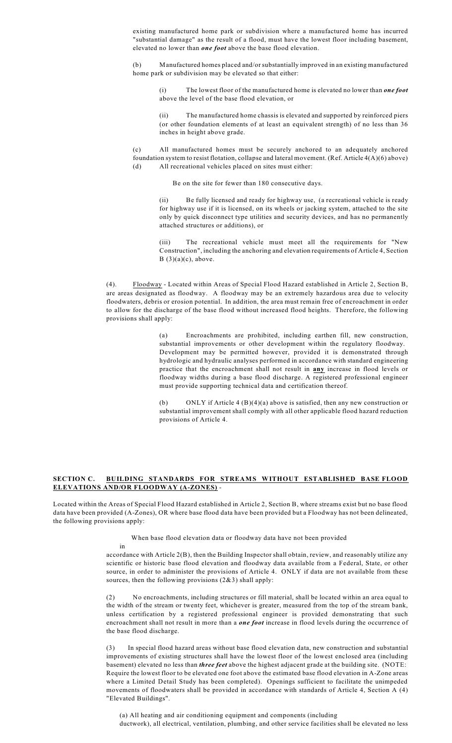existing manufactured home park or subdivision where a manufactured home has incurred "substantial damage" as the result of a flood, must have the lowest floor including basement, elevated no lower than *one foot* above the base flood elevation.

(b) Manufactured homes placed and/or substantially improved in an existing manufactured home park or subdivision may be elevated so that either:

(i) The lowest floor of the manufactured home is elevated no lower than *one foot* above the level of the base flood elevation, or

(ii) The manufactured home chassis is elevated and supported by reinforced piers (or other foundation elements of at least an equivalent strength) of no less than 36 inches in height above grade.

(c) All manufactured homes must be securely anchored to an adequately anchored foundation system to resist flotation, collapse and lateral movement. (Ref. Article 4(A)(6) above) (d) All recreational vehicles placed on sites must either:

Be on the site for fewer than 180 consecutive days.

(ii) Be fully licensed and ready for highway use, (a recreational vehicle is ready for highway use if it is licensed, on its wheels or jacking system, attached to the site only by quick disconnect type utilities and security devices, and has no permanently attached structures or additions), or

(iii) The recreational vehicle must meet all the requirements for "New Construction", including the anchoring and elevation requirements of Article 4, Section B  $(3)(a)(c)$ , above.

(4). Floodway - Located within Areas of Special Flood Hazard established in Article 2, Section B, are areas designated as floodway. A floodway may be an extremely hazardous area due to velocity floodwaters, debris or erosion potential. In addition, the area must remain free of encroachment in order to allow for the discharge of the base flood without increased flood heights. Therefore, the following provisions shall apply:

> (a) Encroachments are prohibited, including earthen fill, new construction, substantial improvements or other development within the regulatory floodway. Development may be permitted however, provided it is demonstrated through hydrologic and hydraulic analyses performed in accordance with standard engineering practice that the encroachment shall not result in **any** increase in flood levels or floodway widths during a base flood discharge. A registered professional engineer must provide supporting technical data and certification thereof.

> (b) ONLY if Article 4 (B)(4)(a) above is satisfied, then any new construction or substantial improvement shall comply with all other applicable flood hazard reduction provisions of Article 4.

#### **SECTION C. BUILDING STANDARDS FOR STREAMS WITHOUT ESTABLISHED BASE FLOOD ELEVATIONS AND/OR FLOODWAY (A-ZONES)** -

Located within the Areas of Special Flood Hazard established in Article 2, Section B, where streams exist but no base flood data have been provided (A-Zones), OR where base flood data have been provided but a Floodway has not been delineated, the following provisions apply:

When base flood elevation data or floodway data have not been provided

in

accordance with Article 2(B), then the Building Inspector shall obtain, review, and reasonably utilize any scientific or historic base flood elevation and floodway data available from a Federal, State, or other source, in order to administer the provisions of Article 4. ONLY if data are not available from these sources, then the following provisions (2&3) shall apply:

(2) No encroachments, including structures or fill material, shall be located within an area equal to the width of the stream or twenty feet, whichever is greater, measured from the top of the stream bank, unless certification by a registered professional engineer is provided demonstrating that such encroachment shall not result in more than a *one foot* increase in flood levels during the occurrence of the base flood discharge.

(3) In special flood hazard areas without base flood elevation data, new construction and substantial improvements of existing structures shall have the lowest floor of the lowest enclosed area (including basement) elevated no less than *three feet* above the highest adjacent grade at the building site. (NOTE: Require the lowest floor to be elevated one foot above the estimated base flood elevation in A-Zone areas where a Limited Detail Study has been completed). Openings sufficient to facilitate the unimpeded movements of floodwaters shall be provided in accordance with standards of Article 4, Section A (4) "Elevated Buildings".

(a) All heating and air conditioning equipment and components (including ductwork), all electrical, ventilation, plumbing, and other service facilities shall be elevated no less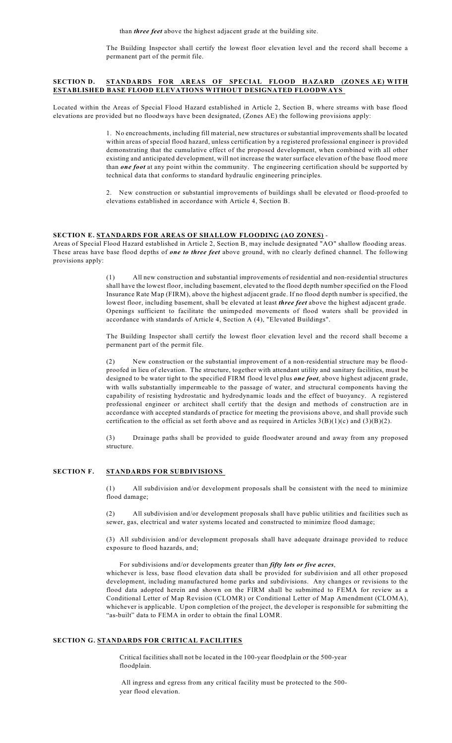The Building Inspector shall certify the lowest floor elevation level and the record shall become a permanent part of the permit file.

#### **SECTION D. STANDARDS FOR AREAS OF SPECIAL FLOOD HAZARD (ZONES AE) WITH ESTABLISHED BASE FLOOD ELEVATIONS WITHOUT DESIGNATED FLOODWAYS**

Located within the Areas of Special Flood Hazard established in Article 2, Section B, where streams with base flood elevations are provided but no floodways have been designated, (Zones AE) the following provisions apply:

> 1. No encroachments, including fill material, new structures or substantial improvements shall be located within areas of special flood hazard, unless certification by a registered professional engineer is provided demonstrating that the cumulative effect of the proposed development, when combined with all other existing and anticipated development, will not increase the water surface elevation of the base flood more than *one foot* at any point within the community. The engineering certification should be supported by technical data that conforms to standard hydraulic engineering principles.

> 2. New construction or substantial improvements of buildings shall be elevated or flood-proofed to elevations established in accordance with Article 4, Section B.

#### **SECTION E. STANDARDS FOR AREAS OF SHALLOW FLOODING (AO ZONES)** -

Areas of Special Flood Hazard established in Article 2, Section B, may include designated "AO" shallow flooding areas. These areas have base flood depths of *one to three feet* above ground, with no clearly defined channel. The following provisions apply:

> (1) All new construction and substantial improvements of residential and non-residential structures shall have the lowest floor, including basement, elevated to the flood depth number specified on the Flood Insurance Rate Map (FIRM), above the highest adjacent grade. If no flood depth number is specified, the lowest floor, including basement, shall be elevated at least *three feet* above the highest adjacent grade. Openings sufficient to facilitate the unimpeded movements of flood waters shall be provided in accordance with standards of Article 4, Section A (4), "Elevated Buildings".

> The Building Inspector shall certify the lowest floor elevation level and the record shall become a permanent part of the permit file.

> (2) New construction or the substantial improvement of a non-residential structure may be floodproofed in lieu of elevation. The structure, together with attendant utility and sanitary facilities, must be designed to be water tight to the specified FIRM flood level plus *one foot*, above highest adjacent grade, with walls substantially impermeable to the passage of water, and structural components having the capability of resisting hydrostatic and hydrodynamic loads and the effect of buoyancy. A registered professional engineer or architect shall certify that the design and methods of construction are in accordance with accepted standards of practice for meeting the provisions above, and shall provide such certification to the official as set forth above and as required in Articles  $3(B)(1)(c)$  and  $(3)(B)(2)$ .

> (3) Drainage paths shall be provided to guide floodwater around and away from any proposed structure.

#### **SECTION F. STANDARDS FOR SUBDIVISIONS**

(1) All subdivision and/or development proposals shall be consistent with the need to minimize flood damage;

(2) All subdivision and/or development proposals shall have public utilities and facilities such as sewer, gas, electrical and water systems located and constructed to minimize flood damage;

(3) All subdivision and/or development proposals shall have adequate drainage provided to reduce exposure to flood hazards, and;

For subdivisions and/or developments greater than *fifty lots or five acres*,

whichever is less, base flood elevation data shall be provided for subdivision and all other proposed development, including manufactured home parks and subdivisions. Any changes or revisions to the flood data adopted herein and shown on the FIRM shall be submitted to FEMA for review as a Conditional Letter of Map Revision (CLOMR) or Conditional Letter of Map Amendment (CLOMA), whichever is applicable. Upon completion of the project, the developer is responsible for submitting the "as-built" data to FEMA in order to obtain the final LOMR.

#### **SECTION G. STANDARDS FOR CRITICAL FACILITIES**

Critical facilities shall not be located in the 100-year floodplain or the 500-year floodplain.

All ingress and egress from any critical facility must be protected to the 500 year flood elevation.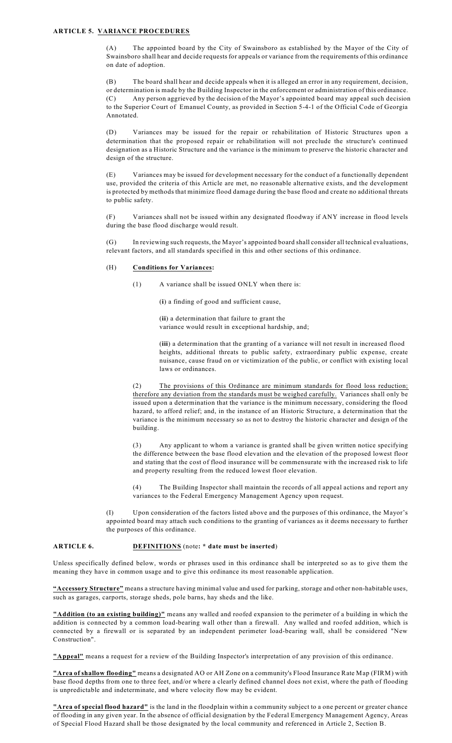#### **ARTICLE 5. VARIANCE PROCEDURES**

(A) The appointed board by the City of Swainsboro as established by the Mayor of the City of Swainsboro shall hear and decide requests for appeals or variance from the requirements of this ordinance on date of adoption.

(B) The board shall hear and decide appeals when it is alleged an error in any requirement, decision, or determination is made by the Building Inspector in the enforcement or administration of this ordinance. (C) Any person aggrieved by the decision of the Mayor's appointed board may appeal such decision to the Superior Court of Emanuel County, as provided in Section 5-4-1 of the Official Code of Georgia Annotated.

(D) Variances may be issued for the repair or rehabilitation of Historic Structures upon a determination that the proposed repair or rehabilitation will not preclude the structure's continued designation as a Historic Structure and the variance is the minimum to preserve the historic character and design of the structure.

(E) Variances may be issued for development necessary for the conduct of a functionally dependent use, provided the criteria of this Article are met, no reasonable alternative exists, and the development is protected by methods that minimize flood damage during the base flood and create no additional threats to public safety.

(F) Variances shall not be issued within any designated floodway if ANY increase in flood levels during the base flood discharge would result.

(G) In reviewing such requests, the Mayor's appointed board shall consider all technical evaluations, relevant factors, and all standards specified in this and other sections of this ordinance.

#### (H) **Conditions for Variances:**

(1) A variance shall be issued ONLY when there is:

(**i**) a finding of good and sufficient cause,

(**ii**) a determination that failure to grant the variance would result in exceptional hardship, and;

(**iii**) a determination that the granting of a variance will not result in increased flood heights, additional threats to public safety, extraordinary public expense, create nuisance, cause fraud on or victimization of the public, or conflict with existing local laws or ordinances.

(2) The provisions of this Ordinance are minimum standards for flood loss reduction; therefore any deviation from the standards must be weighed carefully. Variances shall only be issued upon a determination that the variance is the minimum necessary, considering the flood hazard, to afford relief; and, in the instance of an Historic Structure, a determination that the variance is the minimum necessary so as not to destroy the historic character and design of the building.

(3) Any applicant to whom a variance is granted shall be given written notice specifying the difference between the base flood elevation and the elevation of the proposed lowest floor and stating that the cost of flood insurance will be commensurate with the increased risk to life and property resulting from the reduced lowest floor elevation.

(4) The Building Inspector shall maintain the records of all appeal actions and report any variances to the Federal Emergency Management Agency upon request.

Upon consideration of the factors listed above and the purposes of this ordinance, the Mayor's appointed board may attach such conditions to the granting of variances as it deems necessary to further the purposes of this ordinance.

#### **ARTICLE 6. DEFINITIONS** (note**: \* date must be inserted**)

Unless specifically defined below, words or phrases used in this ordinance shall be interpreted so as to give them the meaning they have in common usage and to give this ordinance its most reasonable application.

**"Accessory Structure"** means a structure having minimal value and used for parking, storage and other non-habitable uses, such as garages, carports, storage sheds, pole barns, hay sheds and the like.

**"Addition (to an existing building)"** means any walled and roofed expansion to the perimeter of a building in which the addition is connected by a common load-bearing wall other than a firewall. Any walled and roofed addition, which is connected by a firewall or is separated by an independent perimeter load-bearing wall, shall be considered "New Construction".

**"Appeal"** means a request for a review of the Building Inspector's interpretation of any provision of this ordinance.

**"Area of shallow flooding"** means a designated AO or AH Zone on a community's Flood Insurance Rate Map (FIRM) with base flood depths from one to three feet, and/or where a clearly defined channel does not exist, where the path of flooding is unpredictable and indeterminate, and where velocity flow may be evident.

**"Area of special flood hazard"** is the land in the floodplain within a community subject to a one percent or greater chance of flooding in any given year. In the absence of official designation by the Federal Emergency Management Agency, Areas of Special Flood Hazard shall be those designated by the local community and referenced in Article 2, Section B.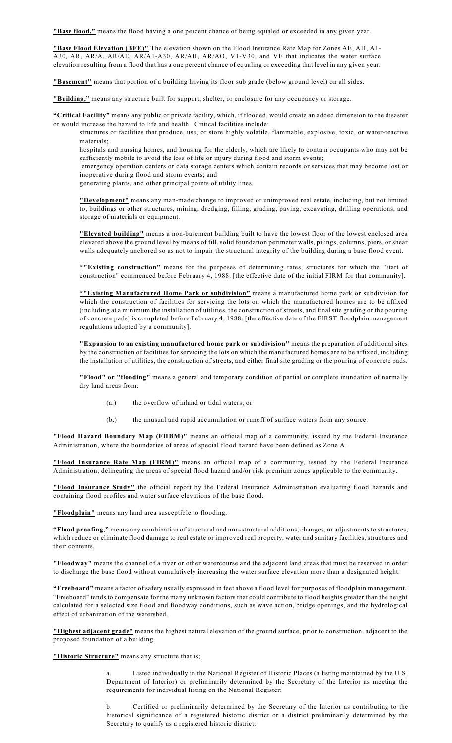**"Base flood,"** means the flood having a one percent chance of being equaled or exceeded in any given year.

**"Base Flood Elevation (BFE)"** The elevation shown on the Flood Insurance Rate Map for Zones AE, AH, A1- A30, AR, AR/A, AR/AE, AR/A1-A30, AR/AH, AR/AO, V1-V30, and VE that indicates the water surface elevation resulting from a flood that has a one percent chance of equaling or exceeding that level in any given year.

**"Basement"** means that portion of a building having its floor sub grade (below ground level) on all sides.

**"Building,"** means any structure built for support, shelter, or enclosure for any occupancy or storage.

**"Critical Facility"** means any public or private facility, which, if flooded, would create an added dimension to the disaster or would increase the hazard to life and health. Critical facilities include:

structures or facilities that produce, use, or store highly volatile, flammable, explosive, toxic, or water-reactive materials;

hospitals and nursing homes, and housing for the elderly, which are likely to contain occupants who may not be sufficiently mobile to avoid the loss of life or injury during flood and storm events;

emergency operation centers or data storage centers which contain records or services that may become lost or inoperative during flood and storm events; and

generating plants, and other principal points of utility lines.

**"Development"** means any man-made change to improved or unimproved real estate, including, but not limited to, buildings or other structures, mining, dredging, filling, grading, paving, excavating, drilling operations, and storage of materials or equipment.

**"Elevated building"** means a non-basement building built to have the lowest floor of the lowest enclosed area elevated above the ground level by means of fill, solid foundation perimeter walls, pilings, columns, piers, or shear walls adequately anchored so as not to impair the structural integrity of the building during a base flood event.

**\*"Existing construction"** means for the purposes of determining rates, structures for which the "start of construction" commenced before February 4, 1988. [the effective date of the initial FIRM for that community].

**\*"Existing Manufactured Home Park or subdivision"** means a manufactured home park or subdivision for which the construction of facilities for servicing the lots on which the manufactured homes are to be affixed (including at a minimum the installation of utilities, the construction of streets, and final site grading or the pouring of concrete pads) is completed before February 4, 1988. [the effective date of the FIRST floodplain management regulations adopted by a community].

**"Expansion to an existing manufactured home park or subdivision"** means the preparation of additional sites by the construction of facilities for servicing the lots on which the manufactured homes are to be affixed, including the installation of utilities, the construction of streets, and either final site grading or the pouring of concrete pads.

**"Flood" or "flooding"** means a general and temporary condition of partial or complete inundation of normally dry land areas from:

- (a.) the overflow of inland or tidal waters; or
- (b.) the unusual and rapid accumulation or runoff of surface waters from any source.

**"Flood Hazard Boundary Map (FHBM)"** means an official map of a community, issued by the Federal Insurance Administration, where the boundaries of areas of special flood hazard have been defined as Zone A.

**"Flood Insurance Rate Map (FIRM)"** means an official map of a community, issued by the Federal Insurance Administration, delineating the areas of special flood hazard and/or risk premium zones applicable to the community.

**"Flood Insurance Study"** the official report by the Federal Insurance Administration evaluating flood hazards and containing flood profiles and water surface elevations of the base flood.

**"Floodplain"** means any land area susceptible to flooding.

**"Flood proofing,"** means any combination of structural and non-structural additions, changes, or adjustments to structures, which reduce or eliminate flood damage to real estate or improved real property, water and sanitary facilities, structures and their contents.

**"Floodway"** means the channel of a river or other watercourse and the adjacent land areas that must be reserved in order to discharge the base flood without cumulatively increasing the water surface elevation more than a designated height.

**"Freeboard"** means a factor of safety usually expressed in feet above a flood level for purposes of floodplain management. "Freeboard" tends to compensate for the many unknown factors that could contribute to flood heights greater than the height calculated for a selected size flood and floodway conditions, such as wave action, bridge openings, and the hydrological effect of urbanization of the watershed.

**"Highest adjacent grade"** means the highest natural elevation of the ground surface, prior to construction, adjacent to the proposed foundation of a building.

**"Historic Structure"** means any structure that is;

Listed individually in the National Register of Historic Places (a listing maintained by the U.S. Department of Interior) or preliminarily determined by the Secretary of the Interior as meeting the requirements for individual listing on the National Register:

b. Certified or preliminarily determined by the Secretary of the Interior as contributing to the historical significance of a registered historic district or a district preliminarily determined by the Secretary to qualify as a registered historic district: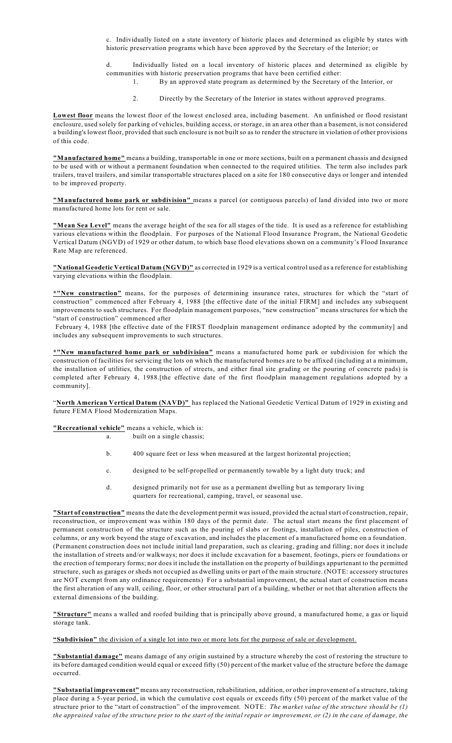c. Individually listed on a state inventory of historic places and determined as eligible by states with historic preservation programs which have been approved by the Secretary of the Interior; or

d. Individually listed on a local inventory of historic places and determined as eligible by communities with historic preservation programs that have been certified either:

- 1. By an approved state program as determined by the Secretary of the Interior, or
	- Directly by the Secretary of the Interior in states without approved programs.

**Lowest floor** means the lowest floor of the lowest enclosed area, including basement. An unfinished or flood resistant enclosure, used solely for parking of vehicles, building access, or storage, in an area other than a basement, is not considered a building's lowest floor, provided that such enclosure is not built so as to render the structure in violation of other provisions of this code.

**"Manufactured home"** means a building, transportable in one or more sections, built on a permanent chassis and designed to be used with or without a permanent foundation when connected to the required utilities. The term also includes park trailers, travel trailers, and similar transportable structures placed on a site for 180 consecutive days or longer and intended to be improved property.

**"Manufactured home park or subdivision"** means a parcel (or contiguous parcels) of land divided into two or more manufactured home lots for rent or sale.

**"Mean Sea Level"** means the average height of the sea for all stages of the tide. It is used as a reference for establishing various elevations within the floodplain. For purposes of the National Flood Insurance Program, the National Geodetic Vertical Datum (NGVD) of 1929 or other datum, to which base flood elevations shown on a community's Flood Insurance Rate Map are referenced.

**"National Geodetic Vertical Datum (NGVD)"** as corrected in 1929 is a vertical control used as a reference for establishing varying elevations within the floodplain.

**\*"New construction"** means, for the purposes of determining insurance rates, structures for which the "start of construction" commenced after February 4, 1988 [the effective date of the initial FIRM] and includes any subsequent improvements to such structures. For floodplain management purposes, "new construction" means structures for which the "start of construction" commenced after

February 4, 1988 [the effective date of the FIRST floodplain management ordinance adopted by the community] and includes any subsequent improvements to such structures.

**\*"New manufactured home park or subdivision"** means a manufactured home park or subdivision for which the construction of facilities for servicing the lots on which the manufactured homes are to be affixed (including at a minimum, the installation of utilities, the construction of streets, and either final site grading or the pouring of concrete pads) is completed after February 4, 1988.[the effective date of the first floodplain management regulations adopted by a community].

"**North American Vertical Datum (NAVD)"** has replaced the National Geodetic Vertical Datum of 1929 in existing and future FEMA Flood Modernization Maps.

**"Recreational vehicle"** means a vehicle, which is:

- a. built on a single chassis;
- b. 400 square feet or less when measured at the largest horizontal projection;
- c. designed to be self-propelled or permanently towable by a light duty truck; and
- d. designed primarily not for use as a permanent dwelling but as temporary living quarters for recreational, camping, travel, or seasonal use.

**"Start of construction"** means the date the development permit was issued, provided the actual start of construction, repair, reconstruction, or improvement was within 180 days of the permit date. The actual start means the first placement of permanent construction of the structure such as the pouring of slabs or footings, installation of piles, construction of columns, or any work beyond the stage of excavation, and includes the placement of a manufactured home on a foundation. (Permanent construction does not include initial land preparation, such as clearing, grading and filling; nor does it include the installation of streets and/or walkways; nor does it include excavation for a basement, footings, piers or foundations or the erection of temporary forms; nor does it include the installation on the property of buildings appurtenant to the permitted structure, such as garages or sheds not occupied as dwelling units or part of the main structure. (NOTE: accessory structures are NOT exempt from any ordinance requirements) For a substantial improvement, the actual start of construction means the first alteration of any wall, ceiling, floor, or other structural part of a building, whether or not that alteration affects the external dimensions of the building.

**"Structure"** means a walled and roofed building that is principally above ground, a manufactured home, a gas or liquid storage tank.

**"Subdivision"** the division of a single lot into two or more lots for the purpose of sale or development.

**"Substantial damage"** means damage of any origin sustained by a structure whereby the cost of restoring the structure to its before damaged condition would equal or exceed fifty (50) percent of the market value of the structure before the damage occurred.

**"Substantial improvement"** means any reconstruction, rehabilitation, addition, or other improvement of a structure, taking place during a 5-year period, in which the cumulative cost equals or exceeds fifty (50) percent of the market value of the structure prior to the "start of construction" of the improvement. NOTE: *The market value of the structure should be (1)* the appraised value of the structure prior to the start of the initial repair or improvement, or  $(2)$  in the case of damage, the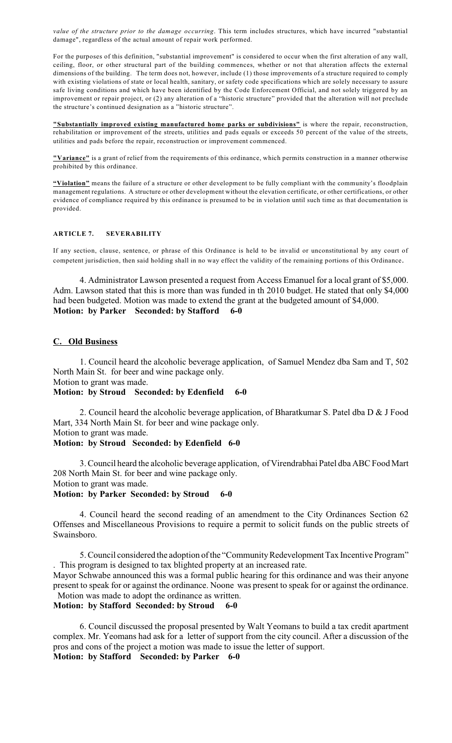*value of the structure prior to the damage occurring*. This term includes structures, which have incurred "substantial damage", regardless of the actual amount of repair work performed.

For the purposes of this definition, "substantial improvement" is considered to occur when the first alteration of any wall, ceiling, floor, or other structural part of the building commences, whether or not that alteration affects the external dimensions of the building. The term does not, however, include (1) those improvements of a structure required to comply with existing violations of state or local health, sanitary, or safety code specifications which are solely necessary to assure safe living conditions and which have been identified by the Code Enforcement Official, and not solely triggered by an improvement or repair project, or (2) any alteration of a "historic structure" provided that the alteration will not preclude the structure's continued designation as a "historic structure".

**"Substantially improved existing manufactured home parks or subdivisions"** is where the repair, reconstruction, rehabilitation or improvement of the streets, utilities and pads equals or exceeds 50 percent of the value of the streets, utilities and pads before the repair, reconstruction or improvement commenced.

**"Variance"** is a grant of relief from the requirements of this ordinance, which permits construction in a manner otherwise prohibited by this ordinance.

**"Violation"** means the failure of a structure or other development to be fully compliant with the community's floodplain management regulations. A structure or other development without the elevation certificate, or other certifications, or other evidence of compliance required by this ordinance is presumed to be in violation until such time as that documentation is provided.

#### **ARTICLE 7. SEVERABILITY**

If any section, clause, sentence, or phrase of this Ordinance is held to be invalid or unconstitutional by any court of competent jurisdiction, then said holding shall in no way effect the validity of the remaining portions of this Ordinance.

4. Administrator Lawson presented a request from Access Emanuel for a local grant of \$5,000. Adm. Lawson stated that this is more than was funded in th 2010 budget. He stated that only \$4,000 had been budgeted. Motion was made to extend the grant at the budgeted amount of \$4,000. **Motion: by Parker Seconded: by Stafford 6-0**

# **C. Old Business**

1. Council heard the alcoholic beverage application, of Samuel Mendez dba Sam and T, 502 North Main St. for beer and wine package only. Motion to grant was made.

# **Motion: by Stroud Seconded: by Edenfield 6-0**

2. Council heard the alcoholic beverage application, of Bharatkumar S. Patel dba D & J Food Mart, 334 North Main St. for beer and wine package only.

Motion to grant was made.

### **Motion: by Stroud Seconded: by Edenfield 6-0**

3. Council heard the alcoholic beverage application, of Virendrabhai Patel dba ABC Food Mart 208 North Main St. for beer and wine package only. Motion to grant was made.

**Motion: by Parker Seconded: by Stroud 6-0**

4. Council heard the second reading of an amendment to the City Ordinances Section 62 Offenses and Miscellaneous Provisions to require a permit to solicit funds on the public streets of Swainsboro.

5. Council considered the adoption of the "Community Redevelopment Tax Incentive Program" . This program is designed to tax blighted property at an increased rate.

Mayor Schwabe announced this was a formal public hearing for this ordinance and was their anyone present to speak for or against the ordinance. Noone was present to speak for or against the ordinance. Motion was made to adopt the ordinance as written.

### **Motion: by Stafford Seconded: by Stroud 6-0**

6. Council discussed the proposal presented by Walt Yeomans to build a tax credit apartment complex. Mr. Yeomans had ask for a letter of support from the city council. After a discussion of the pros and cons of the project a motion was made to issue the letter of support. **Motion: by Stafford Seconded: by Parker 6-0**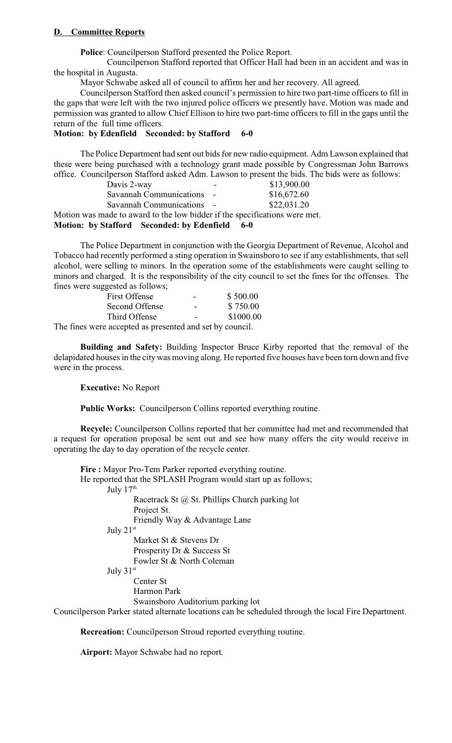# **D. Committee Reports**

**Police**: Councilperson Stafford presented the Police Report.

Councilperson Stafford reported that Officer Hall had been in an accident and was in the hospital in Augusta.

Mayor Schwabe asked all of council to affirm her and her recovery. All agreed.

Councilperson Stafford then asked council's permission to hire two part-time officers to fill in the gaps that were left with the two injured police officers we presently have. Motion was made and permission was granted to allow Chief Ellison to hire two part-time officers to fill in the gaps until the return of the full time officers.

# **Motion: by Edenfield Seconded: by Stafford 6-0**

The Police Department had sent out bids for new radio equipment. Adm Lawson explained that these were being purchased with a technology grant made possible by Congressman John Barrows office. Councilperson Stafford asked Adm. Lawson to present the bids. The bids were as follows:

| Motion: by Stafford Seconded: by Edenfield |                           | $6-0$                                                                      |
|--------------------------------------------|---------------------------|----------------------------------------------------------------------------|
|                                            |                           | Motion was made to award to the low bidder if the specifications were met. |
|                                            | Savannah Communications - | \$22,031.20                                                                |
|                                            | Savannah Communications - | \$16,672.60                                                                |
| Davis 2-way                                |                           | \$13,900.00                                                                |

The Police Department in conjunction with the Georgia Department of Revenue, Alcohol and Tobacco had recently performed a sting operation in Swainsboro to see if any establishments, that sell alcohol, were selling to minors. In the operation some of the establishments were caught selling to minors and charged. It is the responsibility of the city council to set the fines for the offenses. The fines were suggested as follows;

| First Offense                                        | $\overline{\phantom{0}}$ | \$500.00  |
|------------------------------------------------------|--------------------------|-----------|
| Second Offense                                       | $\overline{\phantom{0}}$ | \$750.00  |
| Third Offense                                        | $\overline{\phantom{a}}$ | \$1000.00 |
| lines were accounted as presented and set by council |                          |           |

The fines were accepted as presented and set by council.

**Building and Safety:** Building Inspector Bruce Kirby reported that the removal of the delapidated houses in the citywas moving along. He reported five houses have been torn down and five were in the process.

**Executive:** No Report

**Public Works:** Councilperson Collins reported everything routine.

**Recycle:** Councilperson Collins reported that her committee had met and recommended that a request for operation proposal be sent out and see how many offers the city would receive in operating the day to day operation of the recycle center.

**Fire :** Mayor Pro-Tem Parker reported everything routine. He reported that the SPLASH Program would start up as follows; July  $17<sup>th</sup>$  Racetrack St @ St. Phillips Church parking lot Project St. Friendly Way & Advantage Lane July 21st Market St & Stevens Dr Prosperity Dr & Success St Fowler St & North Coleman July 31st Center St Harmon Park Swainsboro Auditorium parking lot

Councilperson Parker stated alternate locations can be scheduled through the local Fire Department.

**Recreation:** Councilperson Stroud reported everything routine.

**Airport:** Mayor Schwabe had no report.